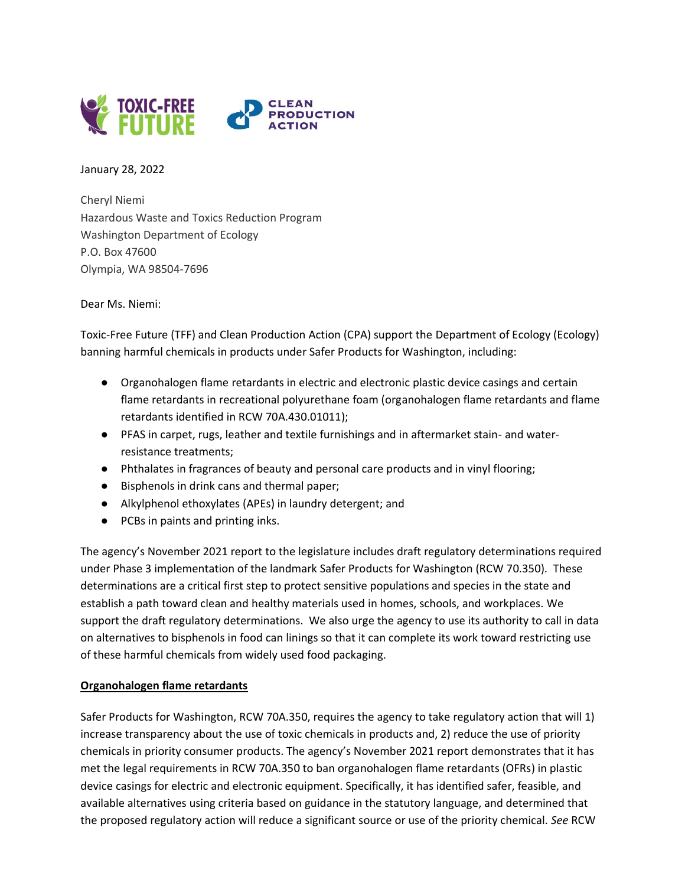

January 28, 2022

Cheryl Niemi Hazardous Waste and Toxics Reduction Program Washington Department of Ecology P.O. Box 47600 Olympia, WA 98504-7696

Dear Ms. Niemi:

Toxic-Free Future (TFF) and Clean Production Action (CPA) support the Department of Ecology (Ecology) banning harmful chemicals in products under Safer Products for Washington, including:

- Organohalogen flame retardants in electric and electronic plastic device casings and certain flame retardants in recreational polyurethane foam (organohalogen flame retardants and flame retardants identified in RCW 70A.430.01011);
- PFAS in carpet, rugs, leather and textile furnishings and in aftermarket stain- and waterresistance treatments;
- Phthalates in fragrances of beauty and personal care products and in vinyl flooring;
- Bisphenols in drink cans and thermal paper;
- Alkylphenol ethoxylates (APEs) in laundry detergent; and
- PCBs in paints and printing inks.

The agency's November 2021 report to the legislature includes draft regulatory determinations required under Phase 3 implementation of the landmark Safer Products for Washington (RCW 70.350). These determinations are a critical first step to protect sensitive populations and species in the state and establish a path toward clean and healthy materials used in homes, schools, and workplaces. We support the draft regulatory determinations. We also urge the agency to use its authority to call in data on alternatives to bisphenols in food can linings so that it can complete its work toward restricting use of these harmful chemicals from widely used food packaging.

# **Organohalogen flame retardants**

Safer Products for Washington, RCW 70A.350, requires the agency to take regulatory action that will 1) increase transparency about the use of toxic chemicals in products and, 2) reduce the use of priority chemicals in priority consumer products. The agency's November 2021 report demonstrates that it has met the legal requirements in RCW 70A.350 to ban organohalogen flame retardants (OFRs) in plastic device casings for electric and electronic equipment. Specifically, it has identified safer, feasible, and available alternatives using criteria based on guidance in the statutory language, and determined that the proposed regulatory action will reduce a significant source or use of the priority chemical. *See* RCW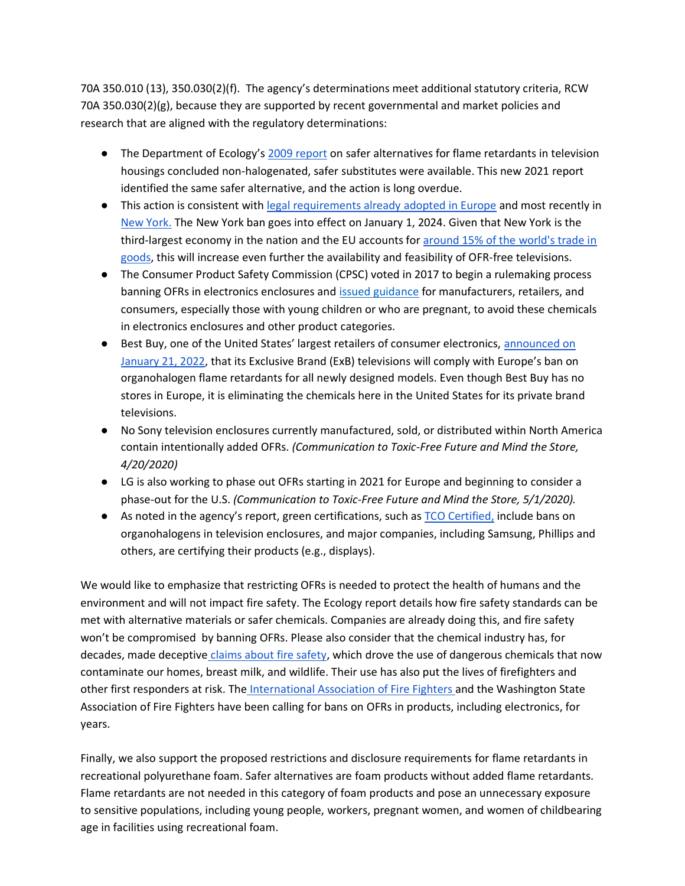70A 350.010 (13), 350.030(2)(f). The agency's determinations meet additional statutory criteria, RCW 70A 350.030(2)(g), because they are supported by recent governmental and market policies and research that are aligned with the regulatory determinations:

- The Department of Ecology's [2009 report](https://apps.ecology.wa.gov/publications/documents/0907041.pdf) on safer alternatives for flame retardants in television housings concluded non-halogenated, safer substitutes were available. This new 2021 report identified the same safer alternative, and the action is long overdue.
- This action is consistent with [legal requirements already adopted in Europe](https://ec.europa.eu/commission/presscorner/detail/en/ip_19_5895) and most recently in [New York.](https://legislation.nysenate.gov/pdf/bills/2021/A5418) The New York ban goes into effect on January 1, 2024. Given that New York is the third-largest economy in the nation and the EU accounts for [around 15% of the world's trade in](https://european-union.europa.eu/principles-countries-history/key-facts-and-figures/economy_en)  [goods,](https://european-union.europa.eu/principles-countries-history/key-facts-and-figures/economy_en) this will increase even further the availability and feasibility of OFR-free televisions.
- The Consumer Product Safety Commission (CPSC) voted in 2017 to begin a rulemaking process banning OFRs in electronics enclosures and [issued guidance](https://www.federalregister.gov/documents/2017/09/28/2017-20733/guidance-document-on-hazardous-additive-non-polymeric-organohalogen-flame-retardants-in-certain) for manufacturers, retailers, and consumers, especially those with young children or who are pregnant, to avoid these chemicals in electronics enclosures and other product categories.
- Best Buy, one of the United States' largest retailers of consumer electronics, announced on [January 21, 2022,](https://corporate.bestbuy.com/best-buy-commits-to-eco-friendly-television-displays/) that its Exclusive Brand (ExB) televisions will comply with Europe's ban on organohalogen flame retardants for all newly designed models. Even though Best Buy has no stores in Europe, it is eliminating the chemicals here in the United States for its private brand televisions.
- No Sony television enclosures currently manufactured, sold, or distributed within North America contain intentionally added OFRs. *(Communication to Toxic-Free Future and Mind the Store, 4/20/2020)*
- LG is also working to phase out OFRs starting in 2021 for Europe and beginning to consider a phase-out for the U.S. *(Communication to Toxic-Free Future and Mind the Store, 5/1/2020).*
- As noted in the agency's report, green certifications, such as [TCO Certified,](https://tcocertified.com/hazardous-substances/) include bans on organohalogens in television enclosures, and major companies, including Samsung, Phillips and others, are certifying their products (e.g., displays).

We would like to emphasize that restricting OFRs is needed to protect the health of humans and the environment and will not impact fire safety. The Ecology report details how fire safety standards can be met with alternative materials or safer chemicals. Companies are already doing this, and fire safety won't be compromised by banning OFRs. Please also consider that the chemical industry has, for decades, made deceptive [claims about fire safety,](http://media.apps.chicagotribune.com/flames/index.html) which drove the use of dangerous chemicals that now contaminate our homes, breast milk, and wildlife. Their use has also put the lives of firefighters and other first responders at risk. The [International Association of Fire Fighters a](https://www.doh.wa.gov/Portals/1/Documents/4000/FirefighterPerspective.pdf)nd the Washington State Association of Fire Fighters have been calling for bans on OFRs in products, including electronics, for years.

Finally, we also support the proposed restrictions and disclosure requirements for flame retardants in recreational polyurethane foam. Safer alternatives are foam products without added flame retardants. Flame retardants are not needed in this category of foam products and pose an unnecessary exposure to sensitive populations, including young people, workers, pregnant women, and women of childbearing age in facilities using recreational foam.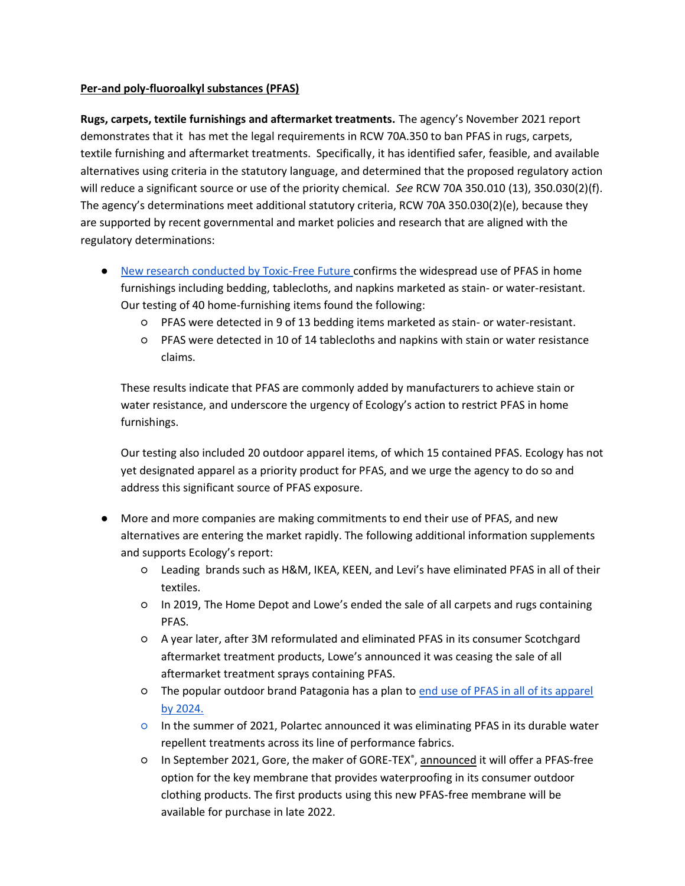#### **Per-and poly-fluoroalkyl substances (PFAS)**

**Rugs, carpets, textile furnishings and aftermarket treatments.** The agency's November 2021 report demonstrates that it has met the legal requirements in RCW 70A.350 to ban PFAS in rugs, carpets, textile furnishing and aftermarket treatments. Specifically, it has identified safer, feasible, and available alternatives using criteria in the statutory language, and determined that the proposed regulatory action will reduce a significant source or use of the priority chemical. *See* RCW 70A 350.010 (13), 350.030(2)(f). The agency's determinations meet additional statutory criteria, RCW 70A 350.030(2)(e), because they are supported by recent governmental and market policies and research that are aligned with the regulatory determinations:

- [New research conducted by Toxic-Free Future c](https://toxicfreefuture.org/new-study-finds-toxic-chemicals-in-most-products-labeled-stain-or-water-resistant/)onfirms the widespread use of PFAS in home furnishings including bedding, tablecloths, and napkins marketed as stain- or water-resistant. Our testing of 40 home-furnishing items found the following:
	- PFAS were detected in 9 of 13 bedding items marketed as stain- or water-resistant.
	- PFAS were detected in 10 of 14 tablecloths and napkins with stain or water resistance claims.

These results indicate that PFAS are commonly added by manufacturers to achieve stain or water resistance, and underscore the urgency of Ecology's action to restrict PFAS in home furnishings.

Our testing also included 20 outdoor apparel items, of which 15 contained PFAS. Ecology has not yet designated apparel as a priority product for PFAS, and we urge the agency to do so and address this significant source of PFAS exposure.

- More and more companies are making commitments to end their use of PFAS, and new alternatives are entering the market rapidly. The following additional information supplements and supports Ecology's report:
	- Leading brands such as H&M, IKEA, KEEN, and Levi's have eliminated PFAS in all of their textiles.
	- In 2019, The Home Depot and Lowe's ended the sale of all carpets and rugs containing PFAS.
	- A year later, after 3M reformulated and eliminated PFAS in its consumer Scotchgard aftermarket treatment products, Lowe's announced it was ceasing the sale of all aftermarket treatment sprays containing PFAS.
	- The popular outdoor brand Patagonia has a plan to [end use of PFAS in all of its apparel](https://www.patagonia.com/our-footprint/dwr-durable-water-repellent.html)  [by 2024.](https://www.patagonia.com/our-footprint/dwr-durable-water-repellent.html)
	- In the summer of 2021, Polartec announced it was eliminating PFAS in its durable water repellent treatments across its line of performance fabrics.
	- **O** In September 2021, Gore, the maker of GORE-TEX<sup>®</sup>, [announced](https://shop-eat-surf.com/2021/09/gore-introduces-new-gore-tex-products/) it will offer a PFAS-free option for the key membrane that provides waterproofing in its consumer outdoor clothing products. The first products using this new PFAS-free membrane will be available for purchase in late 2022.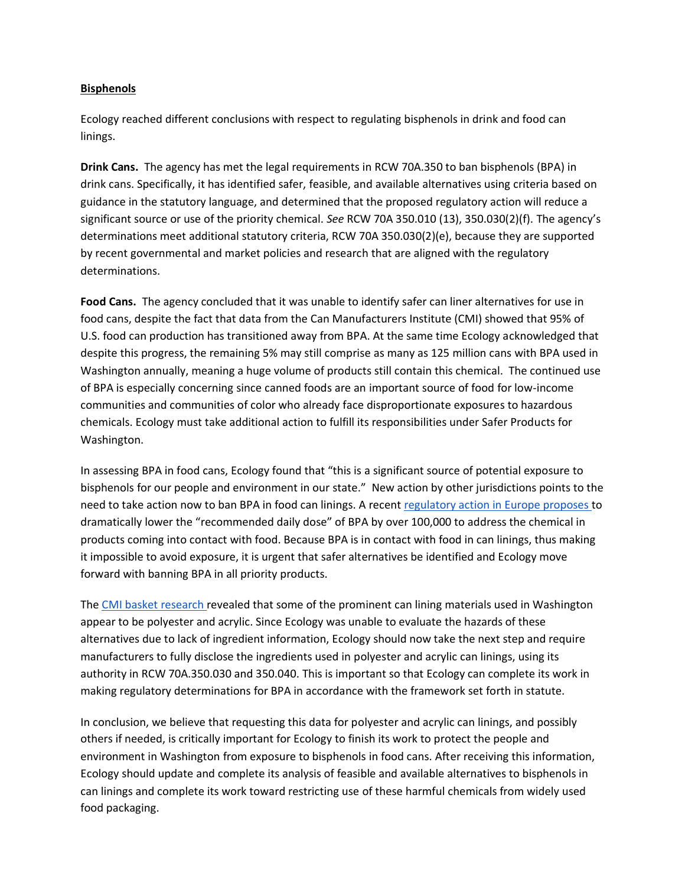#### **Bisphenols**

Ecology reached different conclusions with respect to regulating bisphenols in drink and food can linings.

**Drink Cans.** The agency has met the legal requirements in RCW 70A.350 to ban bisphenols (BPA) in drink cans. Specifically, it has identified safer, feasible, and available alternatives using criteria based on guidance in the statutory language, and determined that the proposed regulatory action will reduce a significant source or use of the priority chemical. *See* RCW 70A 350.010 (13), 350.030(2)(f). The agency's determinations meet additional statutory criteria, RCW 70A 350.030(2)(e), because they are supported by recent governmental and market policies and research that are aligned with the regulatory determinations.

**Food Cans.** The agency concluded that it was unable to identify safer can liner alternatives for use in food cans, despite the fact that data from the Can Manufacturers Institute (CMI) showed that 95% of U.S. food can production has transitioned away from BPA. At the same time Ecology acknowledged that despite this progress, the remaining 5% may still comprise as many as 125 million cans with BPA used in Washington annually, meaning a huge volume of products still contain this chemical. The continued use of BPA is especially concerning since canned foods are an important source of food for low-income communities and communities of color who already face disproportionate exposures to hazardous chemicals. Ecology must take additional action to fulfill its responsibilities under Safer Products for Washington.

In assessing BPA in food cans, Ecology found that "this is a significant source of potential exposure to bisphenols for our people and environment in our state." New action by other jurisdictions points to the need to take action now to ban BPA in food can linings. A recent [regulatory action in Europe proposes t](https://www.efsa.europa.eu/en/news/bisphenol-efsa-draft-opinion-proposes-lowering-tolerable-daily-intake)o dramatically lower the "recommended daily dose" of BPA by over 100,000 to address the chemical in products coming into contact with food. Because BPA is in contact with food in can linings, thus making it impossible to avoid exposure, it is urgent that safer alternatives be identified and Ecology move forward with banning BPA in all priority products.

The [CMI basket research r](https://www.cancentral.com/media/publications/cmi-washington-state-market-basket-report)evealed that some of the prominent can lining materials used in Washington appear to be polyester and acrylic. Since Ecology was unable to evaluate the hazards of these alternatives due to lack of ingredient information, Ecology should now take the next step and require manufacturers to fully disclose the ingredients used in polyester and acrylic can linings, using its authority in RCW 70A.350.030 and 350.040. This is important so that Ecology can complete its work in making regulatory determinations for BPA in accordance with the framework set forth in statute.

In conclusion, we believe that requesting this data for polyester and acrylic can linings, and possibly others if needed, is critically important for Ecology to finish its work to protect the people and environment in Washington from exposure to bisphenols in food cans. After receiving this information, Ecology should update and complete its analysis of feasible and available alternatives to bisphenols in can linings and complete its work toward restricting use of these harmful chemicals from widely used food packaging.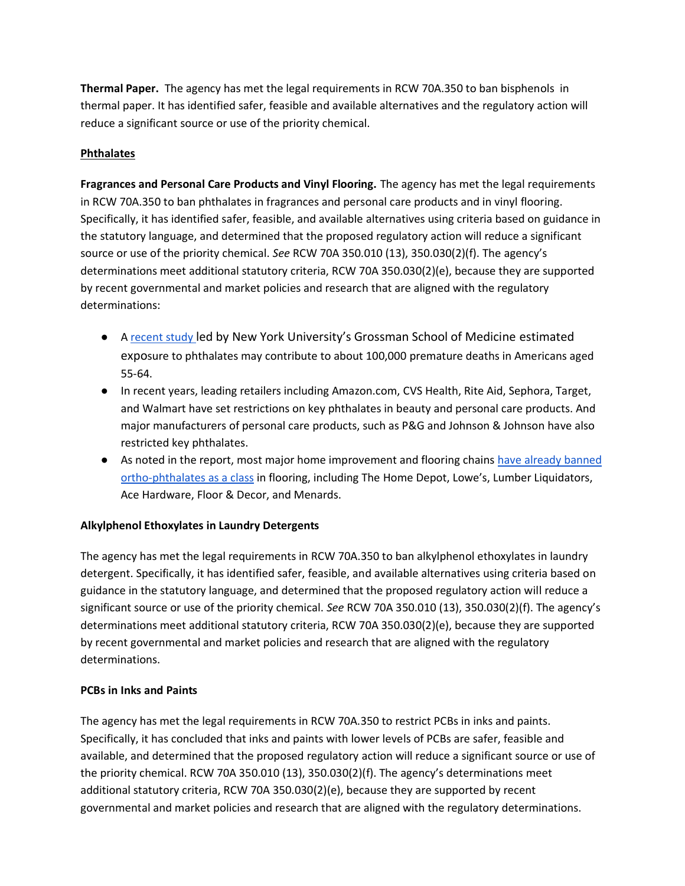**Thermal Paper.** The agency has met the legal requirements in RCW 70A.350 to ban bisphenols in thermal paper. It has identified safer, feasible and available alternatives and the regulatory action will reduce a significant source or use of the priority chemical.

# **Phthalates**

**Fragrances and Personal Care Products and Vinyl Flooring.** The agency has met the legal requirements in RCW 70A.350 to ban phthalates in fragrances and personal care products and in vinyl flooring. Specifically, it has identified safer, feasible, and available alternatives using criteria based on guidance in the statutory language, and determined that the proposed regulatory action will reduce a significant source or use of the priority chemical. *See* RCW 70A 350.010 (13), 350.030(2)(f). The agency's determinations meet additional statutory criteria, RCW 70A 350.030(2)(e), because they are supported by recent governmental and market policies and research that are aligned with the regulatory determinations:

- A [recent study](https://www.sciencedirect.com/science/article/pii/S0269749121016031) led by New York University's Grossman School of Medicine estimated exposure to phthalates may contribute to about 100,000 premature deaths in Americans aged 55-64.
- In recent years, leading retailers including Amazon.com, CVS Health, Rite Aid, Sephora, Target, and Walmart have set restrictions on key phthalates in beauty and personal care products. And major manufacturers of personal care products, such as P&G and Johnson & Johnson have also restricted key phthalates.
- As noted in the report, most major home improvement and flooring chains [have already banned](https://saferchemicals.org/2019/06/27/success-home-improvement-retailers-follow-through-on-commitments-to-remove-phthalates-from-flooring/)  [ortho-phthalates as a class](https://saferchemicals.org/2019/06/27/success-home-improvement-retailers-follow-through-on-commitments-to-remove-phthalates-from-flooring/) in flooring, including The Home Depot, Lowe's, Lumber Liquidators, Ace Hardware, Floor & Decor, and Menards.

# **Alkylphenol Ethoxylates in Laundry Detergents**

The agency has met the legal requirements in RCW 70A.350 to ban alkylphenol ethoxylates in laundry detergent. Specifically, it has identified safer, feasible, and available alternatives using criteria based on guidance in the statutory language, and determined that the proposed regulatory action will reduce a significant source or use of the priority chemical. *See* RCW 70A 350.010 (13), 350.030(2)(f). The agency's determinations meet additional statutory criteria, RCW 70A 350.030(2)(e), because they are supported by recent governmental and market policies and research that are aligned with the regulatory determinations.

#### **PCBs in Inks and Paints**

The agency has met the legal requirements in RCW 70A.350 to restrict PCBs in inks and paints. Specifically, it has concluded that inks and paints with lower levels of PCBs are safer, feasible and available, and determined that the proposed regulatory action will reduce a significant source or use of the priority chemical. RCW 70A 350.010 (13), 350.030(2)(f). The agency's determinations meet additional statutory criteria, RCW 70A 350.030(2)(e), because they are supported by recent governmental and market policies and research that are aligned with the regulatory determinations.